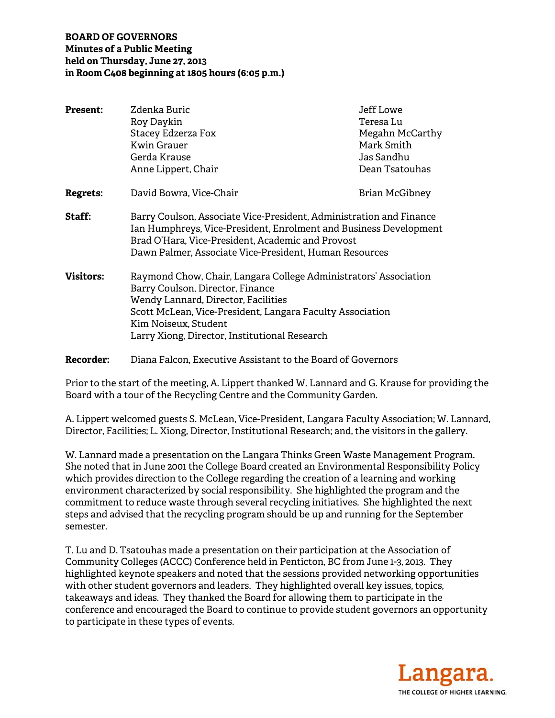#### **BOARD OF GOVERNORS Minutes of a Public Meeting held on Thursday, June 27, 2013 in Room C408 beginning at 1805 hours (6:05 p.m.)**

| <b>Present:</b>  | Zdenka Buric<br>Roy Daykin<br>Stacey Edzerza Fox<br><b>Kwin Grauer</b><br>Gerda Krause<br>Anne Lippert, Chair                                                                                                                                                                     | Jeff Lowe<br>Teresa Lu<br>Megahn McCarthy<br>Mark Smith<br>Jas Sandhu<br>Dean Tsatouhas |  |  |  |
|------------------|-----------------------------------------------------------------------------------------------------------------------------------------------------------------------------------------------------------------------------------------------------------------------------------|-----------------------------------------------------------------------------------------|--|--|--|
| Regrets:         | David Bowra, Vice-Chair                                                                                                                                                                                                                                                           | Brian McGibney                                                                          |  |  |  |
| Staff:           | Barry Coulson, Associate Vice-President, Administration and Finance<br>Ian Humphreys, Vice-President, Enrolment and Business Development<br>Brad O'Hara, Vice-President, Academic and Provost<br>Dawn Palmer, Associate Vice-President, Human Resources                           |                                                                                         |  |  |  |
| <b>Visitors:</b> | Raymond Chow, Chair, Langara College Administrators' Association<br>Barry Coulson, Director, Finance<br>Wendy Lannard, Director, Facilities<br>Scott McLean, Vice-President, Langara Faculty Association<br>Kim Noiseux, Student<br>Larry Xiong, Director, Institutional Research |                                                                                         |  |  |  |
| <b>Recorder:</b> | Diana Falcon, Executive Assistant to the Board of Governors                                                                                                                                                                                                                       |                                                                                         |  |  |  |

Prior to the start of the meeting, A. Lippert thanked W. Lannard and G. Krause for providing the Board with a tour of the Recycling Centre and the Community Garden.

A. Lippert welcomed guests S. McLean, Vice-President, Langara Faculty Association; W. Lannard, Director, Facilities; L. Xiong, Director, Institutional Research; and, the visitors in the gallery.

W. Lannard made a presentation on the Langara Thinks Green Waste Management Program. She noted that in June 2001 the College Board created an Environmental Responsibility Policy which provides direction to the College regarding the creation of a learning and working environment characterized by social responsibility. She highlighted the program and the commitment to reduce waste through several recycling initiatives. She highlighted the next steps and advised that the recycling program should be up and running for the September semester.

T. Lu and D. Tsatouhas made a presentation on their participation at the Association of Community Colleges (ACCC) Conference held in Penticton, BC from June 1-3, 2013. They highlighted keynote speakers and noted that the sessions provided networking opportunities with other student governors and leaders. They highlighted overall key issues, topics, takeaways and ideas. They thanked the Board for allowing them to participate in the conference and encouraged the Board to continue to provide student governors an opportunity to participate in these types of events.

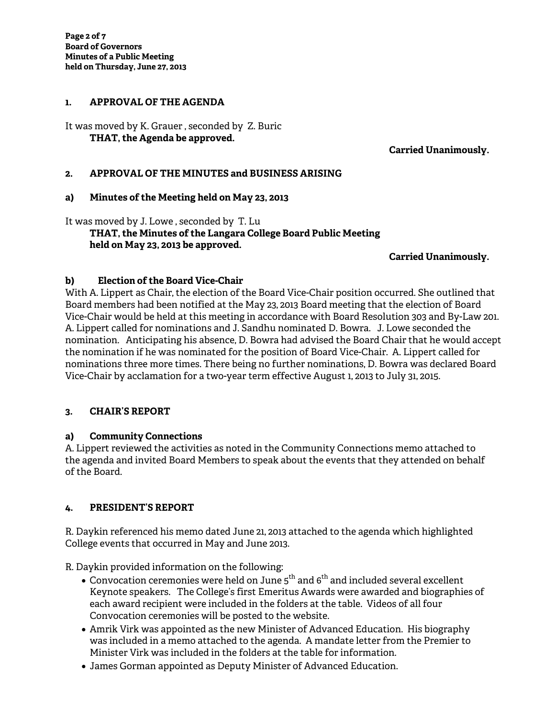### **1. APPROVAL OF THE AGENDA**

It was moved by K. Grauer , seconded by Z. Buric  **THAT, the Agenda be approved.** 

**Carried Unanimously.** 

#### **2. APPROVAL OF THE MINUTES and BUSINESS ARISING**

#### **a) Minutes of the Meeting held on May 23, 2013**

It was moved by J. Lowe , seconded by T. Lu  **THAT, the Minutes of the Langara College Board Public Meeting held on May 23, 2013 be approved.** 

#### **Carried Unanimously.**

#### **b) Election of the Board Vice-Chair**

With A. Lippert as Chair, the election of the Board Vice-Chair position occurred. She outlined that Board members had been notified at the May 23, 2013 Board meeting that the election of Board Vice-Chair would be held at this meeting in accordance with Board Resolution 303 and By-Law 201. A. Lippert called for nominations and J. Sandhu nominated D. Bowra. J. Lowe seconded the nomination. Anticipating his absence, D. Bowra had advised the Board Chair that he would accept the nomination if he was nominated for the position of Board Vice-Chair. A. Lippert called for nominations three more times. There being no further nominations, D. Bowra was declared Board Vice-Chair by acclamation for a two-year term effective August 1, 2013 to July 31, 2015.

#### **3. CHAIR'S REPORT**

#### **a) Community Connections**

A. Lippert reviewed the activities as noted in the Community Connections memo attached to the agenda and invited Board Members to speak about the events that they attended on behalf of the Board.

#### **4. PRESIDENT'S REPORT**

R. Daykin referenced his memo dated June 21, 2013 attached to the agenda which highlighted College events that occurred in May and June 2013.

R. Daykin provided information on the following:

- $\bullet$  Convocation ceremonies were held on June 5<sup>th</sup> and 6<sup>th</sup> and included several excellent Keynote speakers. The College's first Emeritus Awards were awarded and biographies of each award recipient were included in the folders at the table. Videos of all four Convocation ceremonies will be posted to the website.
- Amrik Virk was appointed as the new Minister of Advanced Education. His biography was included in a memo attached to the agenda. A mandate letter from the Premier to Minister Virk was included in the folders at the table for information.
- James Gorman appointed as Deputy Minister of Advanced Education.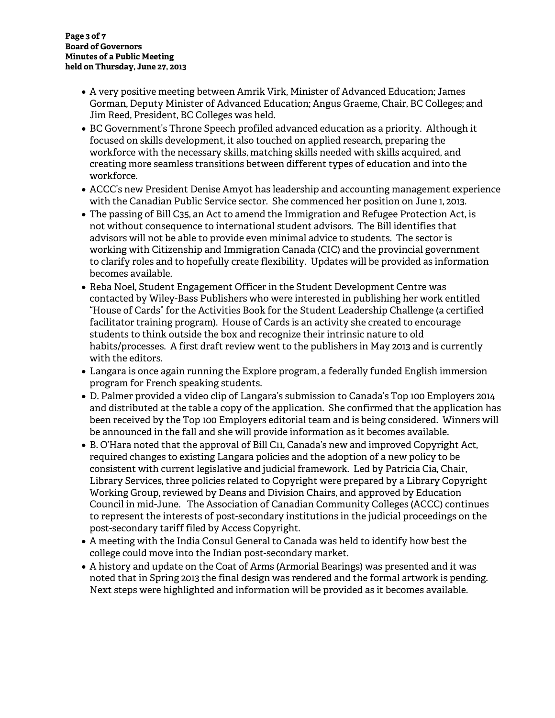- A very positive meeting between Amrik Virk, Minister of Advanced Education; James Gorman, Deputy Minister of Advanced Education; Angus Graeme, Chair, BC Colleges; and Jim Reed, President, BC Colleges was held.
- BC Government's Throne Speech profiled advanced education as a priority. Although it focused on skills development, it also touched on applied research, preparing the workforce with the necessary skills, matching skills needed with skills acquired, and creating more seamless transitions between different types of education and into the workforce.
- ACCC's new President Denise Amyot has leadership and accounting management experience with the Canadian Public Service sector. She commenced her position on June 1, 2013.
- The passing of Bill C35, an Act to amend the Immigration and Refugee Protection Act, is not without consequence to international student advisors. The Bill identifies that advisors will not be able to provide even minimal advice to students. The sector is working with Citizenship and Immigration Canada (CIC) and the provincial government to clarify roles and to hopefully create flexibility. Updates will be provided as information becomes available.
- Reba Noel, Student Engagement Officer in the Student Development Centre was contacted by Wiley-Bass Publishers who were interested in publishing her work entitled "House of Cards" for the Activities Book for the Student Leadership Challenge (a certified facilitator training program). House of Cards is an activity she created to encourage students to think outside the box and recognize their intrinsic nature to old habits/processes. A first draft review went to the publishers in May 2013 and is currently with the editors.
- Langara is once again running the Explore program, a federally funded English immersion program for French speaking students.
- D. Palmer provided a video clip of Langara's submission to Canada's Top 100 Employers 2014 and distributed at the table a copy of the application. She confirmed that the application has been received by the Top 100 Employers editorial team and is being considered. Winners will be announced in the fall and she will provide information as it becomes available.
- B. O'Hara noted that the approval of Bill C11, Canada's new and improved Copyright Act, required changes to existing Langara policies and the adoption of a new policy to be consistent with current legislative and judicial framework. Led by Patricia Cia, Chair, Library Services, three policies related to Copyright were prepared by a Library Copyright Working Group, reviewed by Deans and Division Chairs, and approved by Education Council in mid-June. The Association of Canadian Community Colleges (ACCC) continues to represent the interests of post-secondary institutions in the judicial proceedings on the post-secondary tariff filed by Access Copyright.
- A meeting with the India Consul General to Canada was held to identify how best the college could move into the Indian post-secondary market.
- A history and update on the Coat of Arms (Armorial Bearings) was presented and it was noted that in Spring 2013 the final design was rendered and the formal artwork is pending. Next steps were highlighted and information will be provided as it becomes available.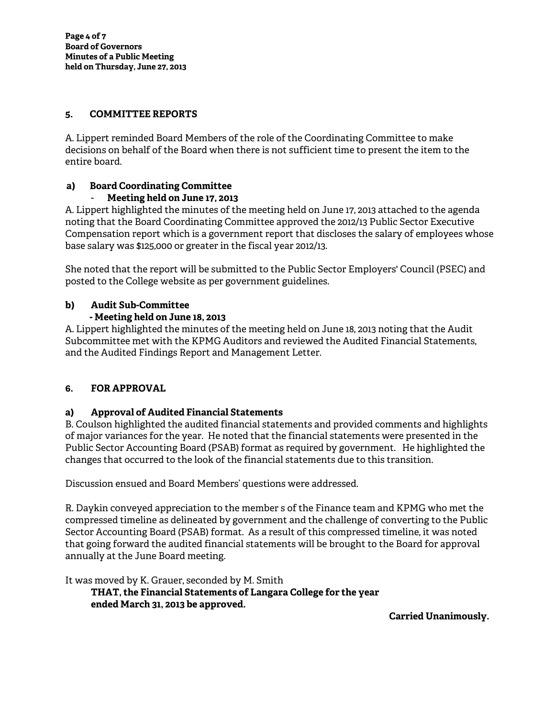#### **5. COMMITTEE REPORTS**

A. Lippert reminded Board Members of the role of the Coordinating Committee to make decisions on behalf of the Board when there is not sufficient time to present the item to the entire board.

# **a) Board Coordinating Committee**

## - **Meeting held on June 17, 2013**

A. Lippert highlighted the minutes of the meeting held on June 17, 2013 attached to the agenda noting that the Board Coordinating Committee approved the 2012/13 Public Sector Executive Compensation report which is a government report that discloses the salary of employees whose base salary was \$125,000 or greater in the fiscal year 2012/13.

She noted that the report will be submitted to the Public Sector Employers' Council (PSEC) and posted to the College website as per government guidelines.

## **b) Audit Sub-Committee**

## **- Meeting held on June 18, 2013**

A. Lippert highlighted the minutes of the meeting held on June 18, 2013 noting that the Audit Subcommittee met with the KPMG Auditors and reviewed the Audited Financial Statements, and the Audited Findings Report and Management Letter.

# **6. FOR APPROVAL**

## **a) Approval of Audited Financial Statements**

B. Coulson highlighted the audited financial statements and provided comments and highlights of major variances for the year. He noted that the financial statements were presented in the Public Sector Accounting Board (PSAB) format as required by government. He highlighted the changes that occurred to the look of the financial statements due to this transition.

Discussion ensued and Board Members' questions were addressed.

R. Daykin conveyed appreciation to the member s of the Finance team and KPMG who met the compressed timeline as delineated by government and the challenge of converting to the Public Sector Accounting Board (PSAB) format. As a result of this compressed timeline, it was noted that going forward the audited financial statements will be brought to the Board for approval annually at the June Board meeting.

It was moved by K. Grauer, seconded by M. Smith  **THAT, the Financial Statements of Langara College for the year ended March 31, 2013 be approved.** 

**Carried Unanimously.**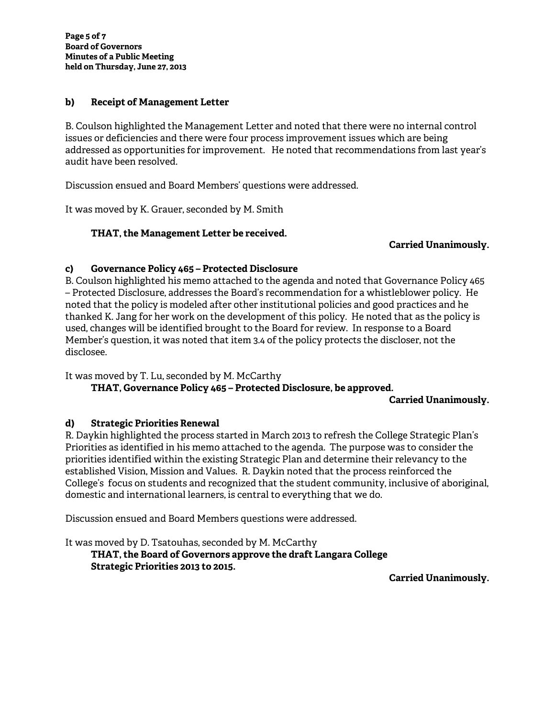**Page 5 of 7 Board of Governors Minutes of a Public Meeting held on Thursday, June 27, 2013** 

### **b) Receipt of Management Letter**

B. Coulson highlighted the Management Letter and noted that there were no internal control issues or deficiencies and there were four process improvement issues which are being addressed as opportunities for improvement. He noted that recommendations from last year's audit have been resolved.

Discussion ensued and Board Members' questions were addressed.

It was moved by K. Grauer, seconded by M. Smith

### **THAT, the Management Letter be received.**

#### **Carried Unanimously.**

#### **c) Governance Policy 465 – Protected Disclosure**

B. Coulson highlighted his memo attached to the agenda and noted that Governance Policy 465 – Protected Disclosure, addresses the Board's recommendation for a whistleblower policy. He noted that the policy is modeled after other institutional policies and good practices and he thanked K. Jang for her work on the development of this policy. He noted that as the policy is used, changes will be identified brought to the Board for review. In response to a Board Member's question, it was noted that item 3.4 of the policy protects the discloser, not the disclosee.

It was moved by T. Lu, seconded by M. McCarthy

 **THAT, Governance Policy 465 – Protected Disclosure, be approved.** 

**Carried Unanimously.** 

#### **d) Strategic Priorities Renewal**

R. Daykin highlighted the process started in March 2013 to refresh the College Strategic Plan's Priorities as identified in his memo attached to the agenda. The purpose was to consider the priorities identified within the existing Strategic Plan and determine their relevancy to the established Vision, Mission and Values. R. Daykin noted that the process reinforced the College's focus on students and recognized that the student community, inclusive of aboriginal, domestic and international learners, is central to everything that we do.

Discussion ensued and Board Members questions were addressed.

It was moved by D. Tsatouhas, seconded by M. McCarthy  **THAT, the Board of Governors approve the draft Langara College Strategic Priorities 2013 to 2015.** 

**Carried Unanimously.**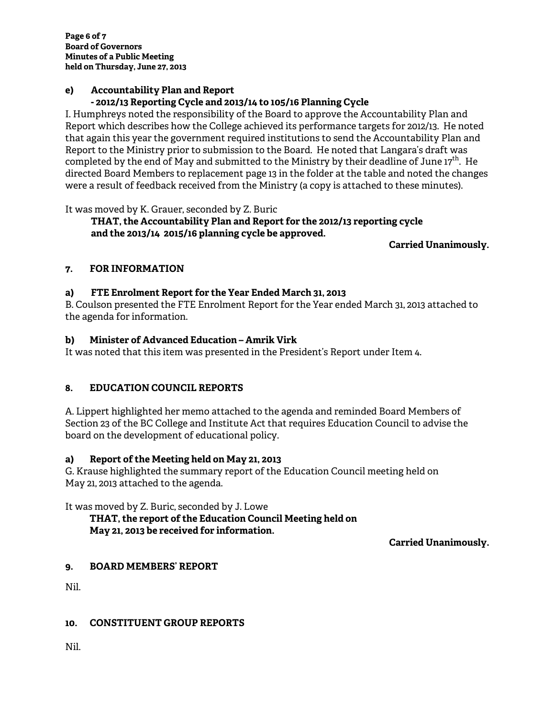#### **e) Accountability Plan and Report - 2012/13 Reporting Cycle and 2013/14 to 105/16 Planning Cycle**

I. Humphreys noted the responsibility of the Board to approve the Accountability Plan and Report which describes how the College achieved its performance targets for 2012/13. He noted that again this year the government required institutions to send the Accountability Plan and Report to the Ministry prior to submission to the Board. He noted that Langara's draft was completed by the end of May and submitted to the Ministry by their deadline of June 17<sup>th</sup>. He directed Board Members to replacement page 13 in the folder at the table and noted the changes were a result of feedback received from the Ministry (a copy is attached to these minutes).

It was moved by K. Grauer, seconded by Z. Buric

#### **THAT, the Accountability Plan and Report for the 2012/13 reporting cycle and the 2013/14 2015/16 planning cycle be approved.**

**Carried Unanimously.** 

# **7. FOR INFORMATION**

## **a) FTE Enrolment Report for the Year Ended March 31, 2013**

B. Coulson presented the FTE Enrolment Report for the Year ended March 31, 2013 attached to the agenda for information.

# **b) Minister of Advanced Education – Amrik Virk**

It was noted that this item was presented in the President's Report under Item 4.

## **8. EDUCATION COUNCIL REPORTS**

A. Lippert highlighted her memo attached to the agenda and reminded Board Members of Section 23 of the BC College and Institute Act that requires Education Council to advise the board on the development of educational policy.

## **a) Report of the Meeting held on May 21, 2013**

G. Krause highlighted the summary report of the Education Council meeting held on May 21, 2013 attached to the agenda.

It was moved by Z. Buric, seconded by J. Lowe

### **THAT, the report of the Education Council Meeting held on May 21, 2013 be received for information.**

**Carried Unanimously.** 

# **9. BOARD MEMBERS' REPORT**

Nil.

## **10. CONSTITUENT GROUP REPORTS**

Nil.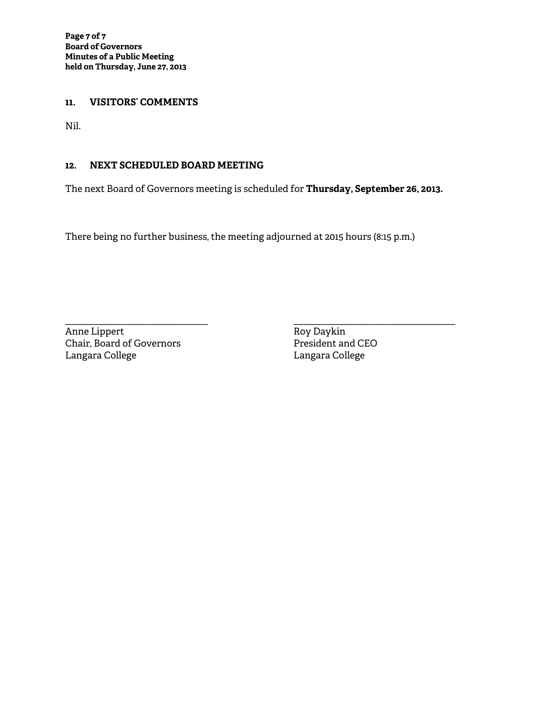#### **11. VISITORS' COMMENTS**

Nil.

### **12. NEXT SCHEDULED BOARD MEETING**

The next Board of Governors meeting is scheduled for **Thursday, September 26, 2013.** 

There being no further business, the meeting adjourned at 2015 hours (8:15 p.m.)

\_\_\_\_\_\_\_\_\_\_\_\_\_\_\_\_\_\_\_\_\_\_\_\_\_\_\_\_\_\_ \_\_\_\_\_\_\_\_\_\_\_\_\_\_\_\_\_\_\_\_\_\_\_\_\_\_\_\_\_\_\_\_\_\_ Anne Lippert<br>
Chair, Board of Governors<br>
President and CEO Chair, Board of Governors<br>Langara College

Langara College